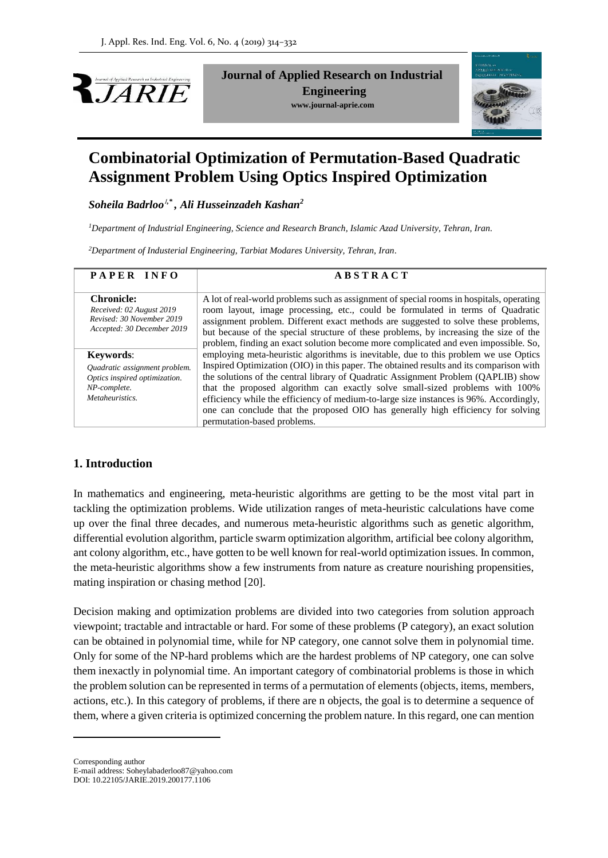

**Journal of Applied Research on Industrial Engineering www.journal-aprie.com**



# **Combinatorial Optimization of Permutation-Based Quadratic Assignment Problem Using Optics Inspired Optimization**

*Soheila Badrloo<sup>1</sup>,\* , Ali Husseinzadeh Kashan<sup>2</sup>*

*<sup>1</sup>Department of Industrial Engineering, Science and Research Branch, Islamic Azad University, Tehran, Iran.*

*<sup>2</sup>Department of Industerial Engineering, Tarbiat Modares University, Tehran, Iran.*

| PAPER INFO                                                                                               | <b>ABSTRACT</b>                                                                                                                                                                                                                                                      |
|----------------------------------------------------------------------------------------------------------|----------------------------------------------------------------------------------------------------------------------------------------------------------------------------------------------------------------------------------------------------------------------|
| <b>Chronicle:</b><br>Received: 02 August 2019<br>Revised: 30 November 2019<br>Accepted: 30 December 2019 | A lot of real-world problems such as assignment of special rooms in hospitals, operating<br>room layout, image processing, etc., could be formulated in terms of Quadratic<br>assignment problem. Different exact methods are suggested to solve these problems,     |
| <b>Keywords:</b>                                                                                         | but because of the special structure of these problems, by increasing the size of the<br>problem, finding an exact solution become more complicated and even impossible. So,<br>employing meta-heuristic algorithms is inevitable, due to this problem we use Optics |
| Quadratic assignment problem.<br>Optics inspired optimization.<br>NP-complete.                           | Inspired Optimization (OIO) in this paper. The obtained results and its comparison with<br>the solutions of the central library of Quadratic Assignment Problem (QAPLIB) show<br>that the proposed algorithm can exactly solve small-sized problems with 100%        |
| Metaheuristics.                                                                                          | efficiency while the efficiency of medium-to-large size instances is 96%. Accordingly,<br>one can conclude that the proposed OIO has generally high efficiency for solving<br>permutation-based problems.                                                            |

# **1. Introduction**

In mathematics and engineering, meta-heuristic algorithms are getting to be the most vital part in tackling the optimization problems. Wide utilization ranges of meta-heuristic calculations have come up over the final three decades, and numerous meta-heuristic algorithms such as genetic algorithm, differential evolution algorithm, particle swarm optimization algorithm, artificial bee colony algorithm, ant colony algorithm, etc., have gotten to be well known for real-world optimization issues. In common, the meta-heuristic algorithms show a few instruments from nature as creature nourishing propensities, mating inspiration or chasing method [20].

Decision making and optimization problems are divided into two categories from solution approach viewpoint; tractable and intractable or hard. For some of these problems (P category), an exact solution can be obtained in polynomial time, while for NP category, one cannot solve them in polynomial time. Only for some of the NP-hard problems which are the hardest problems of NP category, one can solve them inexactly in polynomial time. An important category of combinatorial problems is those in which the problem solution can be represented in terms of a permutation of elements (objects, items, members, actions, etc.). In this category of problems, if there are n objects, the goal is to determine a sequence of them, where a given criteria is optimized concerning the problem nature. In this regard, one can mention

Corresponding author

1

E-mail address: [Soheylabaderloo87@yahoo.com](mailto:Soheylabaderloo87@yahoo.com) DOI: 10.22105/JARIE.2019.200177.1106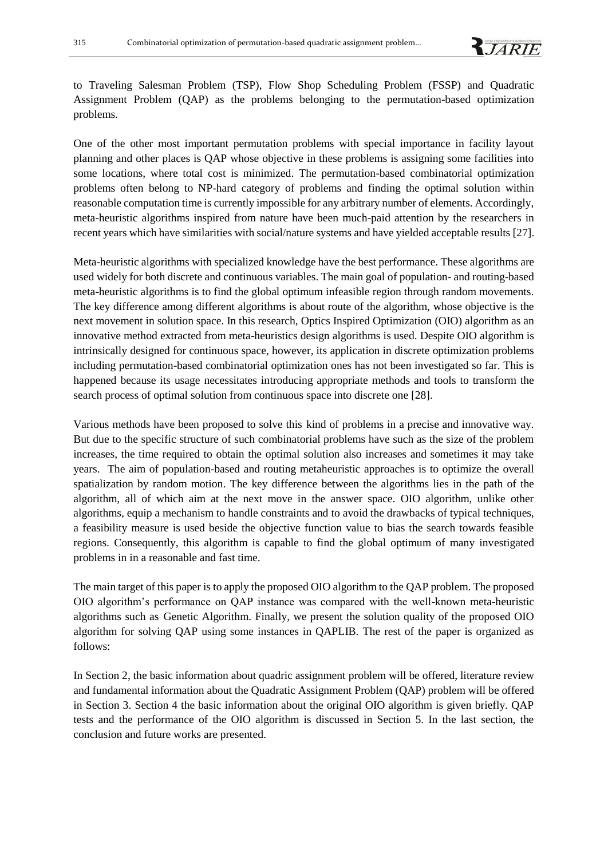

to Traveling Salesman Problem (TSP), Flow Shop Scheduling Problem (FSSP) and Quadratic Assignment Problem (QAP) as the problems belonging to the permutation-based optimization problems.

One of the other most important permutation problems with special importance in facility layout planning and other places is QAP whose objective in these problems is assigning some facilities into some locations, where total cost is minimized. The permutation-based combinatorial optimization problems often belong to NP-hard category of problems and finding the optimal solution within reasonable computation time is currently impossible for any arbitrary number of elements. Accordingly, meta-heuristic algorithms inspired from nature have been much-paid attention by the researchers in recent years which have similarities with social/nature systems and have yielded acceptable results [27].

Meta-heuristic algorithms with specialized knowledge have the best performance. These algorithms are used widely for both discrete and continuous variables. The main goal of population- and routing-based meta-heuristic algorithms is to find the global optimum infeasible region through random movements. The key difference among different algorithms is about route of the algorithm, whose objective is the next movement in solution space. In this research, Optics Inspired Optimization (OIO) algorithm as an innovative method extracted from meta-heuristics design algorithms is used. Despite OIO algorithm is intrinsically designed for continuous space, however, its application in discrete optimization problems including permutation-based combinatorial optimization ones has not been investigated so far. This is happened because its usage necessitates introducing appropriate methods and tools to transform the search process of optimal solution from continuous space into discrete one [28].

Various methods have been proposed to solve this kind of problems in a precise and innovative way. But due to the specific structure of such combinatorial problems have such as the size of the problem increases, the time required to obtain the optimal solution also increases and sometimes it may take years. The aim of population-based and routing metaheuristic approaches is to optimize the overall spatialization by random motion. The key difference between the algorithms lies in the path of the algorithm, all of which aim at the next move in the answer space. OIO algorithm, unlike other algorithms, equip a mechanism to handle constraints and to avoid the drawbacks of typical techniques, a feasibility measure is used beside the objective function value to bias the search towards feasible regions. Consequently, this algorithm is capable to find the global optimum of many investigated problems in in a reasonable and fast time.

The main target of this paper is to apply the proposed OIO algorithm to the QAP problem. The proposed OIO algorithm's performance on QAP instance was compared with the well-known meta-heuristic algorithms such as Genetic Algorithm. Finally, we present the solution quality of the proposed OIO algorithm for solving QAP using some instances in QAPLIB. The rest of the paper is organized as follows:

In Section 2, the basic information about quadric assignment problem will be offered, literature review and fundamental information about the Quadratic Assignment Problem (QAP) problem will be offered in Section 3. Section 4 the basic information about the original OIO algorithm is given briefly. QAP tests and the performance of the OIO algorithm is discussed in Section 5. In the last section, the conclusion and future works are presented.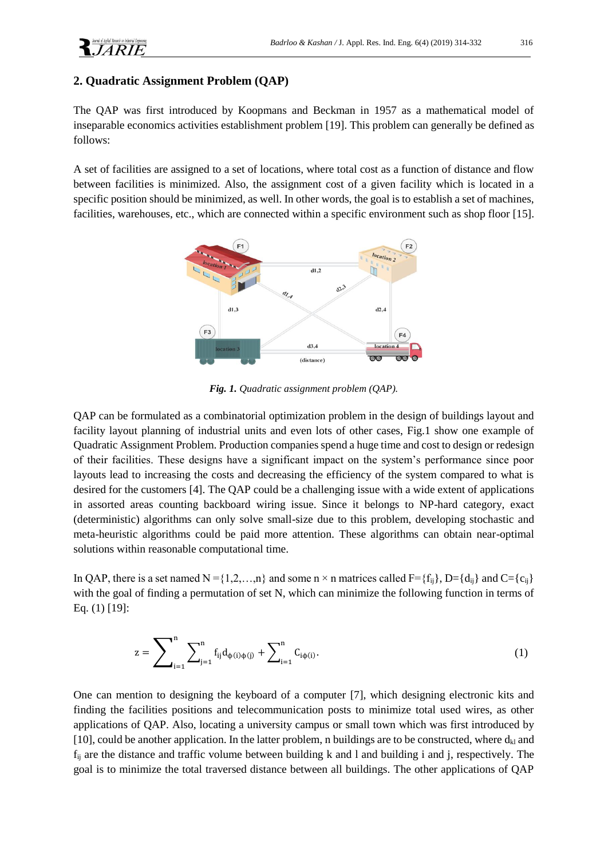## **2. Quadratic Assignment Problem (QAP)**

The QAP was first introduced by Koopmans and Beckman in 1957 as a mathematical model of inseparable economics activities establishment problem [19]. This problem can generally be defined as follows:

A set of facilities are assigned to a set of locations, where total cost as a function of distance and flow between facilities is minimized. Also, the assignment cost of a given facility which is located in a specific position should be minimized, as well. In other words, the goal is to establish a set of machines, facilities, warehouses, etc., which are connected within a specific environment such as shop floor [15].



*Fig. 1. Quadratic assignment problem (QAP).*

QAP can be formulated as a combinatorial optimization problem in the design of buildings layout and facility layout planning of industrial units and even lots of other cases, Fig.1 show one example of Quadratic Assignment Problem. Production companies spend a huge time and cost to design or redesign of their facilities. These designs have a significant impact on the system's performance since poor layouts lead to increasing the costs and decreasing the efficiency of the system compared to what is desired for the customers [4]. The QAP could be a challenging issue with a wide extent of applications in assorted areas counting backboard wiring issue. Since it belongs to NP-hard category, exact (deterministic) algorithms can only solve small-size due to this problem, developing stochastic and meta-heuristic algorithms could be paid more attention. These algorithms can obtain near-optimal solutions within reasonable computational time.

In QAP, there is a set named N = {1,2,...,n} and some n  $\times$  n matrices called F={f<sub>ij</sub>}, D={d<sub>ij</sub>} and C={c<sub>ij</sub>} with the goal of finding a permutation of set N, which can minimize the following function in terms of Eq. (1) [19]:

$$
z = \sum_{i=1}^{n} \sum_{j=1}^{n} f_{ij} d_{\phi(i)\phi(j)} + \sum_{i=1}^{n} C_{i\phi(i)}.
$$
 (1)

One can mention to designing the keyboard of a computer [7], which designing electronic kits and finding the facilities positions and telecommunication posts to minimize total used wires, as other applications of QAP. Also, locating a university campus or small town which was first introduced by [10], could be another application. In the latter problem, n buildings are to be constructed, where  $d_{kl}$  and  $f_{ij}$  are the distance and traffic volume between building k and l and building i and j, respectively. The goal is to minimize the total traversed distance between all buildings. The other applications of QAP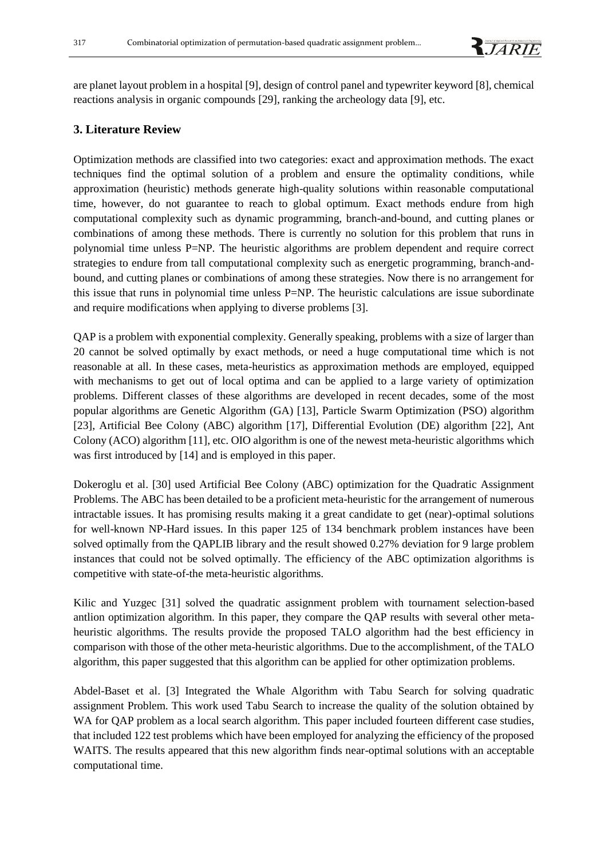are planet layout problem in a hospital [9], design of control panel and typewriter keyword [8], chemical reactions analysis in organic compounds [29], ranking the archeology data [9], etc.

## **3. Literature Review**

Optimization methods are classified into two categories: exact and approximation methods. The exact techniques find the optimal solution of a problem and ensure the optimality conditions, while approximation (heuristic) methods generate high-quality solutions within reasonable computational time, however, do not guarantee to reach to global optimum. Exact methods endure from high computational complexity such as dynamic programming, branch-and-bound, and cutting planes or combinations of among these methods. There is currently no solution for this problem that runs in polynomial time unless P=NP. The heuristic algorithms are problem dependent and require correct strategies to endure from tall computational complexity such as energetic programming, branch-andbound, and cutting planes or combinations of among these strategies. Now there is no arrangement for this issue that runs in polynomial time unless P=NP. The heuristic calculations are issue subordinate and require modifications when applying to diverse problems [3].

QAP is a problem with exponential complexity. Generally speaking, problems with a size of larger than 20 cannot be solved optimally by exact methods, or need a huge computational time which is not reasonable at all. In these cases, meta-heuristics as approximation methods are employed, equipped with mechanisms to get out of local optima and can be applied to a large variety of optimization problems. Different classes of these algorithms are developed in recent decades, some of the most popular algorithms are Genetic Algorithm (GA) [13], Particle Swarm Optimization (PSO) algorithm [23], Artificial Bee Colony (ABC) algorithm [17], Differential Evolution (DE) algorithm [22], Ant Colony (ACO) algorithm [11], etc. OIO algorithm is one of the newest meta-heuristic algorithms which was first introduced by [14] and is employed in this paper.

Dokeroglu et al. [30] used Artificial Bee Colony (ABC) optimization for the Quadratic Assignment Problems. The ABC has been detailed to be a proficient meta-heuristic for the arrangement of numerous intractable issues. It has promising results making it a great candidate to get (near)-optimal solutions for well-known NP-Hard issues. In this paper 125 of 134 benchmark problem instances have been solved optimally from the QAPLIB library and the result showed 0.27% deviation for 9 large problem instances that could not be solved optimally. The efficiency of the ABC optimization algorithms is competitive with state-of-the meta-heuristic algorithms.

Kilic and Yuzgec [31] solved the quadratic assignment problem with tournament selection-based antlion optimization algorithm. In this paper, they compare the QAP results with several other metaheuristic algorithms. The results provide the proposed TALO algorithm had the best efficiency in comparison with those of the other meta-heuristic algorithms. Due to the accomplishment, of the TALO algorithm, this paper suggested that this algorithm can be applied for other optimization problems.

Abdel-Baset et al. [3] Integrated the Whale Algorithm with Tabu Search for solving quadratic assignment Problem. This work used Tabu Search to increase the quality of the solution obtained by WA for QAP problem as a local search algorithm. This paper included fourteen different case studies, that included 122 test problems which have been employed for analyzing the efficiency of the proposed WAITS. The results appeared that this new algorithm finds near-optimal solutions with an acceptable computational time.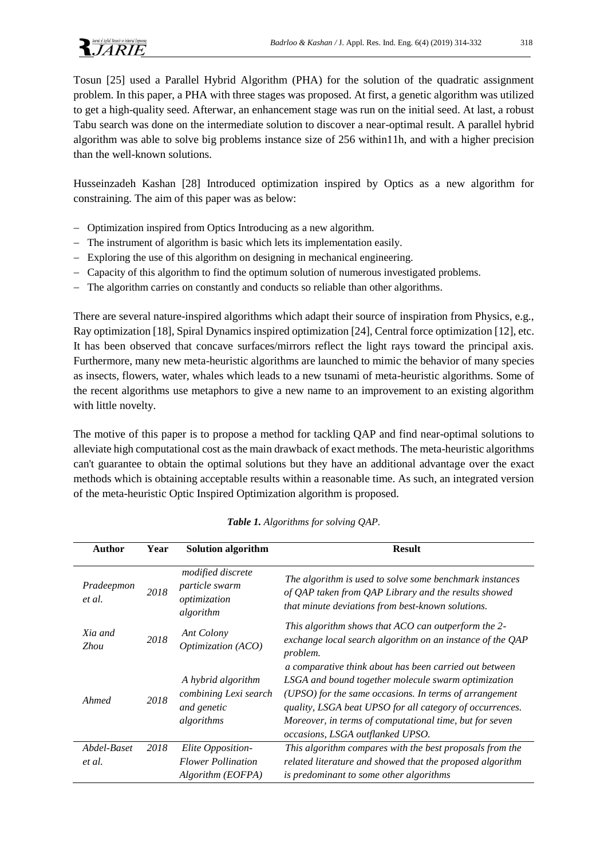

Tosun [25] used a Parallel Hybrid Algorithm (PHA) for the solution of the quadratic assignment problem. In this paper, a PHA with three stages was proposed. At first, a genetic algorithm was utilized to get a high-quality seed. Afterwar, an enhancement stage was run on the initial seed. At last, a robust Tabu search was done on the intermediate solution to discover a near-optimal result. A parallel hybrid algorithm was able to solve big problems instance size of 256 within11h, and with a higher precision than the well-known solutions.

Husseinzadeh Kashan [28] Introduced optimization inspired by Optics as a new algorithm for constraining. The aim of this paper was as below:

- − Optimization inspired from Optics Introducing as a new algorithm.
- − The instrument of algorithm is basic which lets its implementation easily.
- − Exploring the use of this algorithm on designing in mechanical engineering.
- − Capacity of this algorithm to find the optimum solution of numerous investigated problems.
- − The algorithm carries on constantly and conducts so reliable than other algorithms.

There are several nature-inspired algorithms which adapt their source of inspiration from Physics, e.g., Ray optimization [18], Spiral Dynamics inspired optimization [24], Central force optimization [12], etc. It has been observed that concave surfaces/mirrors reflect the light rays toward the principal axis. Furthermore, many new meta-heuristic algorithms are launched to mimic the behavior of many species as insects, flowers, water, whales which leads to a new tsunami of meta-heuristic algorithms. Some of the recent algorithms use metaphors to give a new name to an improvement to an existing algorithm with little novelty.

The motive of this paper is to propose a method for tackling QAP and find near-optimal solutions to alleviate high computational cost as the main drawback of exact methods. The meta-heuristic algorithms can't guarantee to obtain the optimal solutions but they have an additional advantage over the exact methods which is obtaining acceptable results within a reasonable time. As such, an integrated version of the meta-heuristic Optic Inspired Optimization algorithm is proposed.

| Author                 | Year | <b>Solution algorithm</b>                                                | <b>Result</b>                                                                                                                                                                                                                                                                                                                      |
|------------------------|------|--------------------------------------------------------------------------|------------------------------------------------------------------------------------------------------------------------------------------------------------------------------------------------------------------------------------------------------------------------------------------------------------------------------------|
| Pradeepmon<br>et al.   | 2018 | modified discrete<br><i>particle swarm</i><br>optimization<br>algorithm  | The algorithm is used to solve some benchmark instances<br>of QAP taken from QAP Library and the results showed<br>that minute deviations from best-known solutions.                                                                                                                                                               |
| Xia and<br><b>Zhou</b> | 2018 | Ant Colony<br>Optimization (ACO)                                         | This algorithm shows that ACO can outperform the 2-<br>exchange local search algorithm on an instance of the QAP<br>problem.                                                                                                                                                                                                       |
| Ahmed                  | 2018 | A hybrid algorithm<br>combining Lexi search<br>and genetic<br>algorithms | a comparative think about has been carried out between<br>LSGA and bound together molecule swarm optimization<br>(UPSO) for the same occasions. In terms of arrangement<br>quality, LSGA beat UPSO for all category of occurrences.<br>Moreover, in terms of computational time, but for seven<br>occasions, LSGA outflanked UPSO. |
| Abdel-Baset            | 2018 | Elite Opposition-                                                        | This algorithm compares with the best proposals from the                                                                                                                                                                                                                                                                           |
| et al.                 |      | <b>Flower Pollination</b>                                                | related literature and showed that the proposed algorithm                                                                                                                                                                                                                                                                          |
|                        |      | Algorithm (EOFPA)                                                        | is predominant to some other algorithms                                                                                                                                                                                                                                                                                            |

*Table 1. Algorithms for solving QAP.*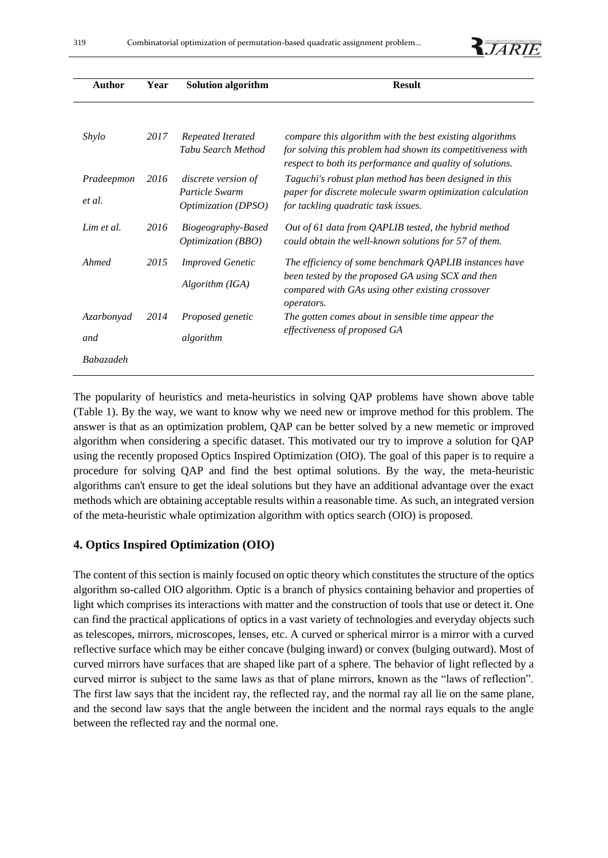|  | of Anglied Research on Industrial Excitencing |  |
|--|-----------------------------------------------|--|
|  |                                               |  |
|  |                                               |  |

| <b>Author</b>        | Year | <b>Solution algorithm</b>                                    | <b>Result</b>                                                                                                                                                                        |
|----------------------|------|--------------------------------------------------------------|--------------------------------------------------------------------------------------------------------------------------------------------------------------------------------------|
|                      |      |                                                              |                                                                                                                                                                                      |
| Shylo                | 2017 | Repeated Iterated<br>Tabu Search Method                      | compare this algorithm with the best existing algorithms<br>for solving this problem had shown its competitiveness with<br>respect to both its performance and quality of solutions. |
| Pradeepmon<br>et al. | 2016 | discrete version of<br>Particle Swarm<br>Optimization (DPSO) | Taguchi's robust plan method has been designed in this<br>paper for discrete molecule swarm optimization calculation<br>for tackling quadratic task issues.                          |
| Lim et al.           | 2016 | Biogeography-Based<br>Optimization (BBO)                     | Out of 61 data from QAPLIB tested, the hybrid method<br>could obtain the well-known solutions for 57 of them.                                                                        |
| Ahmed                | 2015 | <b>Improved Genetic</b>                                      | The efficiency of some benchmark QAPLIB instances have                                                                                                                               |
|                      |      | Algorithm (IGA)                                              | been tested by the proposed GA using SCX and then<br>compared with GAs using other existing crossover<br>operators.                                                                  |
| Azarbonyad           | 2014 | Proposed genetic                                             | The gotten comes about in sensible time appear the                                                                                                                                   |
| and                  |      | algorithm                                                    | effectiveness of proposed GA                                                                                                                                                         |
| <b>Babazadeh</b>     |      |                                                              |                                                                                                                                                                                      |

The popularity of heuristics and meta-heuristics in solving QAP problems have shown above table (Table 1). By the way, we want to know why we need new or improve method for this problem. The answer is that as an optimization problem, QAP can be better solved by a new memetic or improved algorithm when considering a specific dataset. This motivated our try to improve a solution for QAP using the recently proposed Optics Inspired Optimization (OIO). The goal of this paper is to require a procedure for solving QAP and find the best optimal solutions. By the way, the meta-heuristic algorithms can't ensure to get the ideal solutions but they have an additional advantage over the exact methods which are obtaining acceptable results within a reasonable time. As such, an integrated version of the meta-heuristic whale optimization algorithm with optics search (OIO) is proposed.

## **4. Optics Inspired Optimization (OIO)**

The content of this section is mainly focused on optic theory which constitutes the structure of the optics algorithm so-called OIO algorithm. Optic is a branch of physics containing behavior and properties of light which comprises its interactions with matter and the construction of tools that use or detect it. One can find the practical applications of optics in a vast variety of technologies and everyday objects such as telescopes, mirrors, microscopes, lenses, etc. A curved or spherical mirror is a mirror with a curved reflective surface which may be either concave (bulging inward) or convex (bulging outward). Most of curved mirrors have surfaces that are shaped like part of a sphere. The behavior of light reflected by a curved mirror is subject to the same laws as that of plane mirrors, known as the "laws of reflection". The first law says that the incident ray, the reflected ray, and the normal ray all lie on the same plane, and the second law says that the angle between the incident and the normal rays equals to the angle between the reflected ray and the normal one.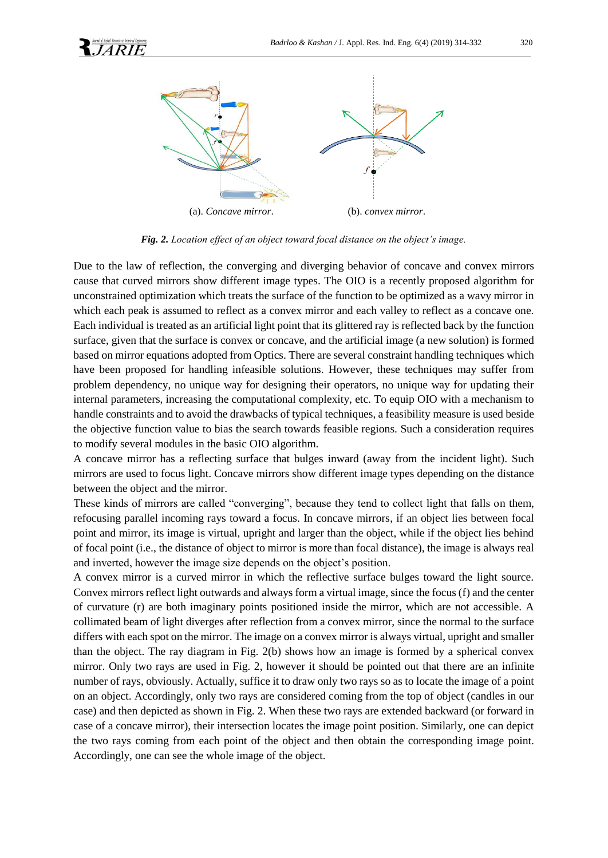

*Fig. 2. Location effect of an object toward focal distance on the object's image.*

Due to the law of reflection, the converging and diverging behavior of concave and convex mirrors cause that curved mirrors show different image types. The OIO is a recently proposed algorithm for unconstrained optimization which treats the surface of the function to be optimized as a wavy mirror in which each peak is assumed to reflect as a convex mirror and each valley to reflect as a concave one. Each individual is treated as an artificial light point that its glittered ray is reflected back by the function surface, given that the surface is convex or concave, and the artificial image (a new solution) is formed based on mirror equations adopted from Optics. There are several constraint handling techniques which have been proposed for handling infeasible solutions. However, these techniques may suffer from problem dependency, no unique way for designing their operators, no unique way for updating their internal parameters, increasing the computational complexity, etc. To equip OIO with a mechanism to handle constraints and to avoid the drawbacks of typical techniques, a feasibility measure is used beside the objective function value to bias the search towards feasible regions. Such a consideration requires to modify several modules in the basic OIO algorithm.

A concave mirror has a reflecting surface that bulges inward (away from the incident light). Such mirrors are used to focus light. Concave mirrors show different image types depending on the distance between the object and the mirror.

These kinds of mirrors are called "converging", because they tend to collect light that falls on them, refocusing parallel incoming rays toward a focus. In concave mirrors, if an object lies between focal point and mirror, its image is virtual, upright and larger than the object, while if the object lies behind of focal point (i.e., the distance of object to mirror is more than focal distance), the image is always real and inverted, however the image size depends on the object's position.

A convex mirror is a curved mirror in which the reflective surface bulges toward the light source. Convex mirrors reflect light outwards and always form a virtual image, since the focus (f) and the center of curvature (r) are both imaginary points positioned inside the mirror, which are not accessible. A collimated beam of light diverges after reflection from a convex mirror, since the normal to the surface differs with each spot on the mirror. The image on a convex mirror is always virtual, upright and smaller than the object. The ray diagram in Fig. 2(b) shows how an image is formed by a spherical convex mirror. Only two rays are used in Fig. 2, however it should be pointed out that there are an infinite number of rays, obviously. Actually, suffice it to draw only two rays so as to locate the image of a point on an object. Accordingly, only two rays are considered coming from the top of object (candles in our case) and then depicted as shown in Fig. 2. When these two rays are extended backward (or forward in case of a concave mirror), their intersection locates the image point position. Similarly, one can depict the two rays coming from each point of the object and then obtain the corresponding image point. Accordingly, one can see the whole image of the object.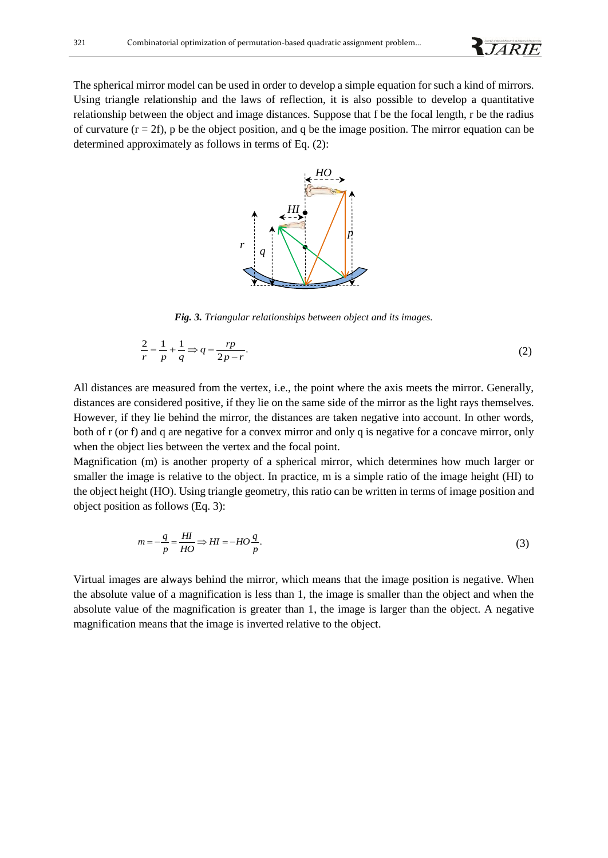**RJARIE** 

The spherical mirror model can be used in order to develop a simple equation for such a kind of mirrors. Using triangle relationship and the laws of reflection, it is also possible to develop a quantitative relationship between the object and image distances. Suppose that f be the focal length, r be the radius of curvature  $(r = 2f)$ , p be the object position, and q be the image position. The mirror equation can be determined approximately as follows in terms of Eq. (2):



*Fig. 3. Triangular relationships between object and its images.*

$$
\frac{2}{r} = \frac{1}{p} + \frac{1}{q} \Rightarrow q = \frac{rp}{2p - r}.
$$
\n(2)

All distances are measured from the vertex, i.e., the point where the axis meets the mirror. Generally, distances are considered positive, if they lie on the same side of the mirror as the light rays themselves. However, if they lie behind the mirror, the distances are taken negative into account. In other words, both of r (or f) and q are negative for a convex mirror and only q is negative for a concave mirror, only when the object lies between the vertex and the focal point.

Magnification (m) is another property of a spherical mirror, which determines how much larger or smaller the image is relative to the object. In practice, m is a simple ratio of the image height (HI) to the object height (HO). Using triangle geometry, this ratio can be written in terms of image position and object position as follows (Eq. 3):

$$
m = -\frac{q}{p} = \frac{HI}{HO} \Rightarrow HI = -HO\frac{q}{p}.
$$
\n(3)

Virtual images are always behind the mirror, which means that the image position is negative. When the absolute value of a magnification is less than 1, the image is smaller than the object and when the absolute value of the magnification is greater than 1, the image is larger than the object. A negative magnification means that the image is inverted relative to the object.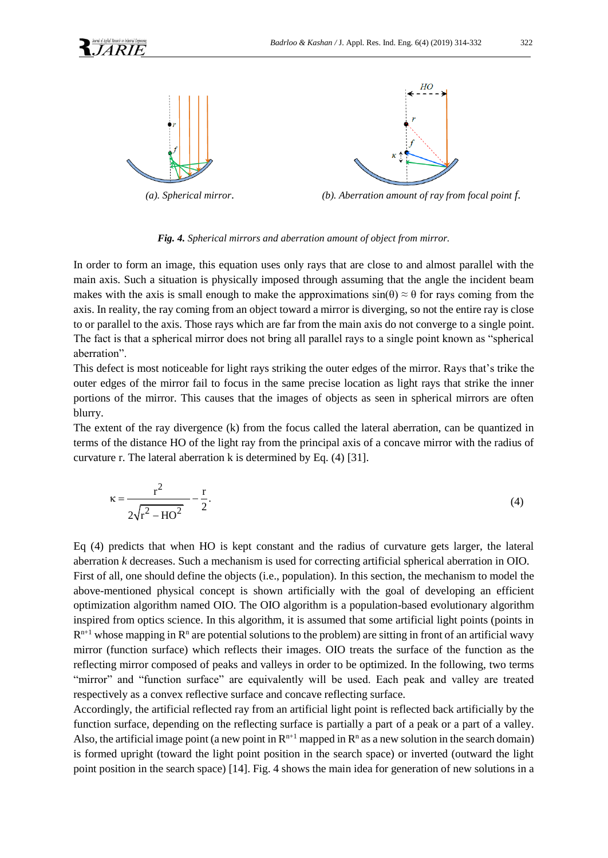

*(a). Spherical mirror*. *(b). Aberration amount of ray from focal point f.*

#### *Fig. 4. Spherical mirrors and aberration amount of object from mirror.*

In order to form an image, this equation uses only rays that are close to and almost parallel with the main axis. Such a situation is physically imposed through assuming that the angle the incident beam makes with the axis is small enough to make the approximations  $sin(\theta) \approx \theta$  for rays coming from the axis. In reality, the ray coming from an object toward a mirror is diverging, so not the entire ray is close to or parallel to the axis. Those rays which are far from the main axis do not converge to a single point. The fact is that a spherical mirror does not bring all parallel rays to a single point known as "spherical aberration".

This defect is most noticeable for light rays striking the outer edges of the mirror. Rays that's trike the outer edges of the mirror fail to focus in the same precise location as light rays that strike the inner portions of the mirror. This causes that the images of objects as seen in spherical mirrors are often blurry.

The extent of the ray divergence (k) from the focus called the lateral aberration, can be quantized in terms of the distance HO of the light ray from the principal axis of a concave mirror with the radius of curvature r. The lateral aberration k is determined by Eq. (4) [31].

$$
\kappa = \frac{r^2}{2\sqrt{r^2 - HO^2}} - \frac{r}{2}.
$$
 (4)

Eq (4) predicts that when HO is kept constant and the radius of curvature gets larger, the lateral aberration *k* decreases. Such a mechanism is used for correcting artificial spherical aberration in OIO. First of all, one should define the objects (i.e., population). In this section, the mechanism to model the above-mentioned physical concept is shown artificially with the goal of developing an efficient optimization algorithm named OIO. The OIO algorithm is a population-based evolutionary algorithm inspired from optics science. In this algorithm, it is assumed that some artificial light points (points in  $R^{n+1}$  whose mapping in  $R^n$  are potential solutions to the problem) are sitting in front of an artificial wavy mirror (function surface) which reflects their images. OIO treats the surface of the function as the reflecting mirror composed of peaks and valleys in order to be optimized. In the following, two terms "mirror" and "function surface" are equivalently will be used. Each peak and valley are treated respectively as a convex reflective surface and concave reflecting surface.

Accordingly, the artificial reflected ray from an artificial light point is reflected back artificially by the function surface, depending on the reflecting surface is partially a part of a peak or a part of a valley. Also, the artificial image point (a new point in  $\mathbb{R}^{n+1}$  mapped in  $\mathbb{R}^n$  as a new solution in the search domain) is formed upright (toward the light point position in the search space) or inverted (outward the light point position in the search space) [14]. Fig. 4 shows the main idea for generation of new solutions in a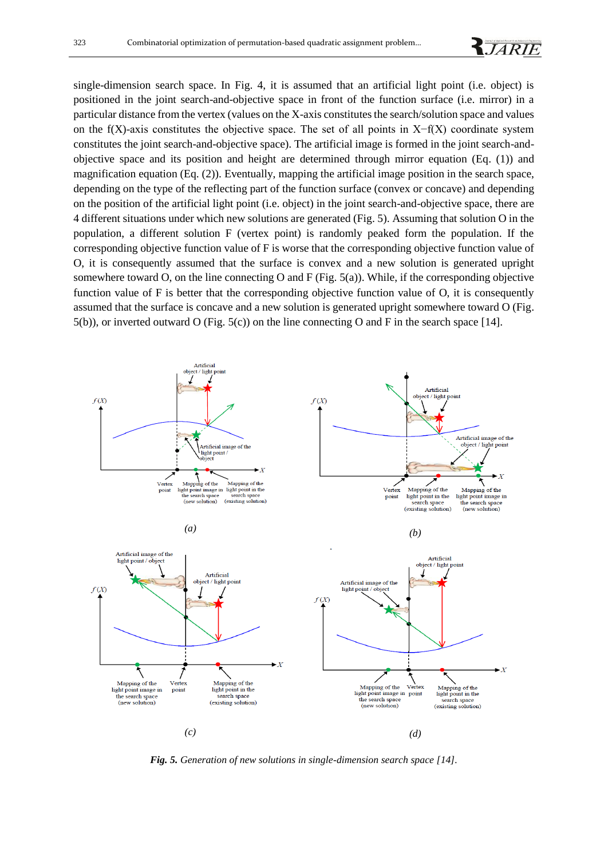single-dimension search space. In Fig. 4, it is assumed that an artificial light point (i.e. object) is positioned in the joint search-and-objective space in front of the function surface (i.e. mirror) in a particular distance from the vertex (values on the X-axis constitutes the search/solution space and values on the f(X)-axis constitutes the objective space. The set of all points in  $X-f(X)$  coordinate system constitutes the joint search-and-objective space). The artificial image is formed in the joint search-andobjective space and its position and height are determined through mirror equation (Eq. (1)) and magnification equation (Eq. (2)). Eventually, mapping the artificial image position in the search space, depending on the type of the reflecting part of the function surface (convex or concave) and depending on the position of the artificial light point (i.e. object) in the joint search-and-objective space, there are 4 different situations under which new solutions are generated (Fig. 5). Assuming that solution O in the population, a different solution F (vertex point) is randomly peaked form the population. If the corresponding objective function value of F is worse that the corresponding objective function value of O, it is consequently assumed that the surface is convex and a new solution is generated upright somewhere toward O, on the line connecting O and F (Fig.  $5(a)$ ). While, if the corresponding objective function value of F is better that the corresponding objective function value of O, it is consequently assumed that the surface is concave and a new solution is generated upright somewhere toward O (Fig. 5(b)), or inverted outward O (Fig. 5(c)) on the line connecting O and F in the search space [14].



*Fig. 5. Generation of new solutions in single-dimension search space [14].*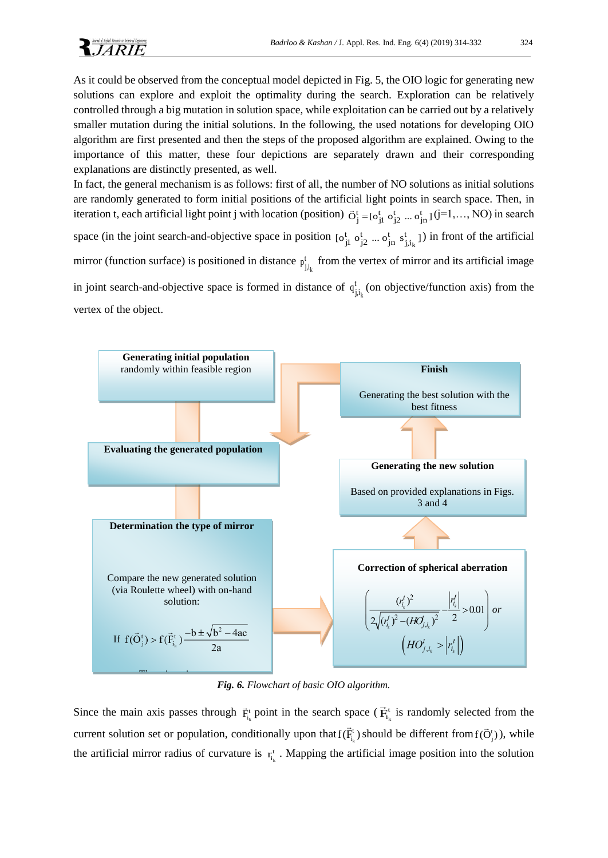As it could be observed from the conceptual model depicted in Fig. 5, the OIO logic for generating new solutions can explore and exploit the optimality during the search. Exploration can be relatively controlled through a big mutation in solution space, while exploitation can be carried out by a relatively smaller mutation during the initial solutions. In the following, the used notations for developing OIO algorithm are first presented and then the steps of the proposed algorithm are explained. Owing to the importance of this matter, these four depictions are separately drawn and their corresponding explanations are distinctly presented, as well.

In fact, the general mechanism is as follows: first of all, the number of NO solutions as initial solutions are randomly generated to form initial positions of the artificial light points in search space. Then, in iteration t, each artificial light point j with location (position)  $\vec{O}_j^t = [o_{jl}^t o_{j2}^t ... o_{jn}^t](j=1,..., NO)$  in search space (in the joint search-and-objective space in position  $[\mathbf{o}_{j1}^{\text{t}} \ \mathbf{o}_{j2}^{\text{t}} \ ... \ \mathbf{o}_{jn}^{\text{t}} \ \mathbf{s}_{j,i_k}^{\text{t}}]$  $[\text{o}_{jl}^{\text{t}} \text{o}_{j2}^{\text{t}} ... \text{o}_{jn}^{\text{t}} \text{s}_{j,i_k}^{\text{t}}]$ ) in front of the artificial mirror (function surface) is positioned in distance  $p_{j,i_k}^t$  $p_{j,i_k}^t$  from the vertex of mirror and its artificial image in joint search-and-objective space is formed in distance of  $q_{j,i_k}^t$  $q_{j,i_k}^t$  (on objective/function axis) from the vertex of the object.



*Fig. 6. Flowchart of basic OIO algorithm.* 

Since the main axis passes through  $\vec{F}_{i_k}^t$  point in the search space ( $\vec{F}_{i_k}^t$  $\vec{F}_{i_k}^t$  is randomly selected from the current solution set or population, conditionally upon that  $f(\vec{F}_{i_k}^t)$  $f(\vec{F}_{i_k}^t)$  should be different from  $f(\vec{O}_j^t)$ ), while the artificial mirror radius of curvature is  $r_{i_k}$  $r_{i_k}^t$ . Mapping the artificial image position into the solution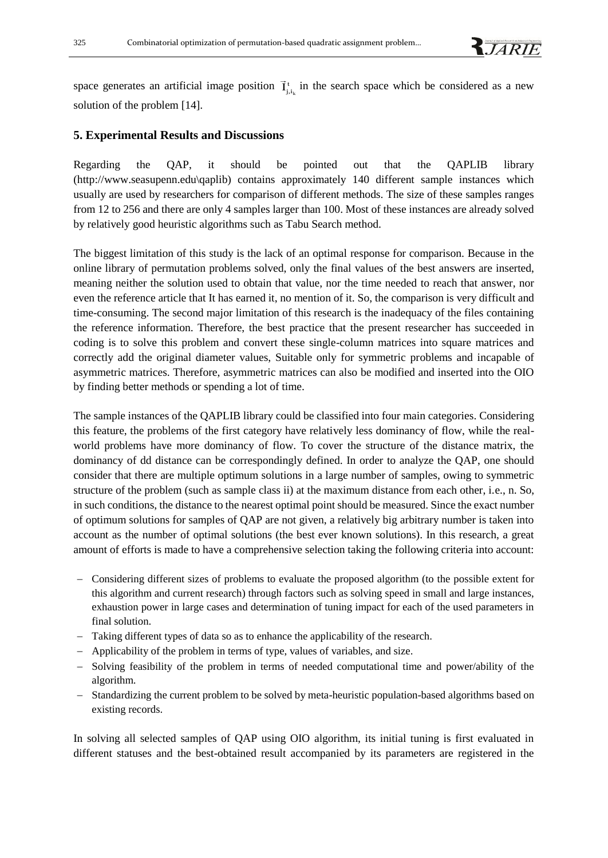space generates an artificial image position  $\vec{I}^{\text{t}}_{j,i_k}$  $\vec{I}^{\,t}_{j,i_k}$  in the search space which be considered as a new solution of the problem [14].

#### **5. Experimental Results and Discussions**

Regarding the QAP, it should be pointed out that the QAPLIB library [\(http://www.seasupenn.edu\qaplib\)](http://www.seasupenn.edu/qaplib) contains approximately 140 different sample instances which usually are used by researchers for comparison of different methods. The size of these samples ranges from 12 to 256 and there are only 4 samples larger than 100. Most of these instances are already solved by relatively good heuristic algorithms such as Tabu Search method.

The biggest limitation of this study is the lack of an optimal response for comparison. Because in the online library of permutation problems solved, only the final values of the best answers are inserted, meaning neither the solution used to obtain that value, nor the time needed to reach that answer, nor even the reference article that It has earned it, no mention of it. So, the comparison is very difficult and time-consuming. The second major limitation of this research is the inadequacy of the files containing the reference information. Therefore, the best practice that the present researcher has succeeded in coding is to solve this problem and convert these single-column matrices into square matrices and correctly add the original diameter values, Suitable only for symmetric problems and incapable of asymmetric matrices. Therefore, asymmetric matrices can also be modified and inserted into the OIO by finding better methods or spending a lot of time.

The sample instances of the QAPLIB library could be classified into four main categories. Considering this feature, the problems of the first category have relatively less dominancy of flow, while the realworld problems have more dominancy of flow. To cover the structure of the distance matrix, the dominancy of dd distance can be correspondingly defined. In order to analyze the QAP, one should consider that there are multiple optimum solutions in a large number of samples, owing to symmetric structure of the problem (such as sample class ii) at the maximum distance from each other, i.e., n. So, in such conditions, the distance to the nearest optimal point should be measured. Since the exact number of optimum solutions for samples of QAP are not given, a relatively big arbitrary number is taken into account as the number of optimal solutions (the best ever known solutions). In this research, a great amount of efforts is made to have a comprehensive selection taking the following criteria into account:

- − Considering different sizes of problems to evaluate the proposed algorithm (to the possible extent for this algorithm and current research) through factors such as solving speed in small and large instances, exhaustion power in large cases and determination of tuning impact for each of the used parameters in final solution.
- − Taking different types of data so as to enhance the applicability of the research.
- − Applicability of the problem in terms of type, values of variables, and size.
- − Solving feasibility of the problem in terms of needed computational time and power/ability of the algorithm.
- − Standardizing the current problem to be solved by meta-heuristic population-based algorithms based on existing records.

In solving all selected samples of QAP using OIO algorithm, its initial tuning is first evaluated in different statuses and the best-obtained result accompanied by its parameters are registered in the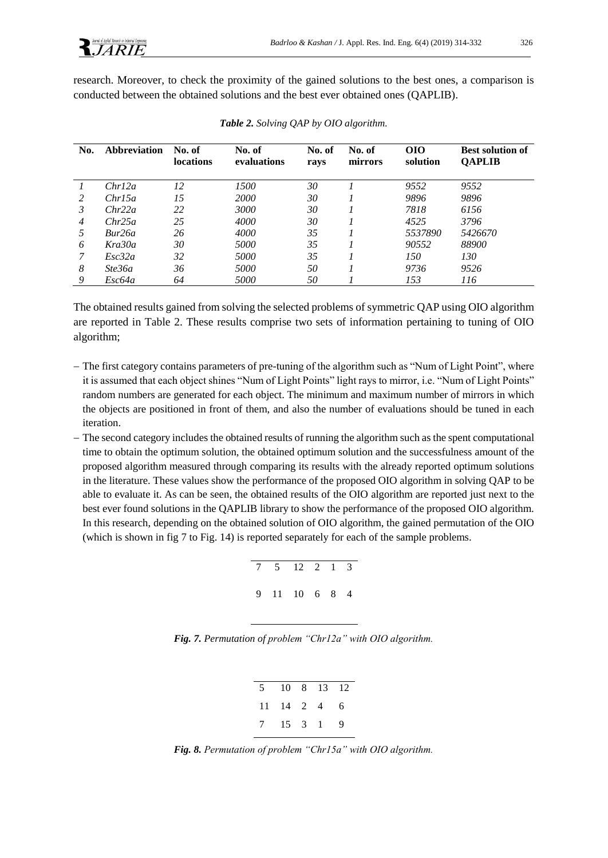research. Moreover, to check the proximity of the gained solutions to the best ones, a comparison is conducted between the obtained solutions and the best ever obtained ones (QAPLIB).

| No. | <b>Abbreviation</b> | No. of<br><b>locations</b> | No. of<br>evaluations | No. of<br>ravs | No. of<br>mirrors | <b>OIO</b><br>solution | <b>Best solution of</b><br><b>QAPLIB</b> |
|-----|---------------------|----------------------------|-----------------------|----------------|-------------------|------------------------|------------------------------------------|
|     | Chrl2a              | 12                         | 1500                  | 30             |                   | 9552                   | 9552                                     |
| 2   | Chr15a              | 15                         | 2000                  | 30             |                   | 9896                   | 9896                                     |
| 3   | Chr22a              | 22                         | 3000                  | 30             |                   | 7818                   | 6156                                     |
| 4   | Chr25a              | 25                         | 4000                  | 30             |                   | 4525                   | 3796                                     |
| 5   | Bur26a              | 26                         | 4000                  | 35             |                   | 5537890                | 5426670                                  |
| 6   | Kra30a              | 30                         | 5000                  | 35             |                   | 90552                  | 88900                                    |
| 7   | Esc32a              | 32                         | <i>5000</i>           | 35             |                   | 150                    | 130                                      |
| 8   | Ste36a              | 36                         | 5000                  | 50             |                   | 9736                   | 9526                                     |
| 9   | Esc64a              | 64                         | 5000                  | 50             |                   | 153                    | 116                                      |

*Table 2. Solving QAP by OIO algorithm.*

The obtained results gained from solving the selected problems of symmetric QAP using OIO algorithm are reported in Table 2. These results comprise two sets of information pertaining to tuning of OIO algorithm;

- − The first category contains parameters of pre-tuning of the algorithm such as "Num of Light Point", where it is assumed that each object shines "Num of Light Points" light rays to mirror, i.e. "Num of Light Points" random numbers are generated for each object. The minimum and maximum number of mirrors in which the objects are positioned in front of them, and also the number of evaluations should be tuned in each iteration.
- − The second category includes the obtained results of running the algorithm such as the spent computational time to obtain the optimum solution, the obtained optimum solution and the successfulness amount of the proposed algorithm measured through comparing its results with the already reported optimum solutions in the literature. These values show the performance of the proposed OIO algorithm in solving QAP to be able to evaluate it. As can be seen, the obtained results of the OIO algorithm are reported just next to the best ever found solutions in the QAPLIB library to show the performance of the proposed OIO algorithm. In this research, depending on the obtained solution of OIO algorithm, the gained permutation of the OIO (which is shown in fig 7 to Fig. 14) is reported separately for each of the sample problems.

|  | 7 5 12 2 1 3  |  |  |
|--|---------------|--|--|
|  | 9 11 10 6 8 4 |  |  |

*Fig. 7. Permutation of problem "Chr12a" with OIO algorithm.*

| 5 10 8 13 12          |  |  |
|-----------------------|--|--|
| $11 \t14 \t2 \t4 \t6$ |  |  |
| 7 15 3 1 9            |  |  |

*Fig. 8. Permutation of problem "Chr15a" with OIO algorithm.*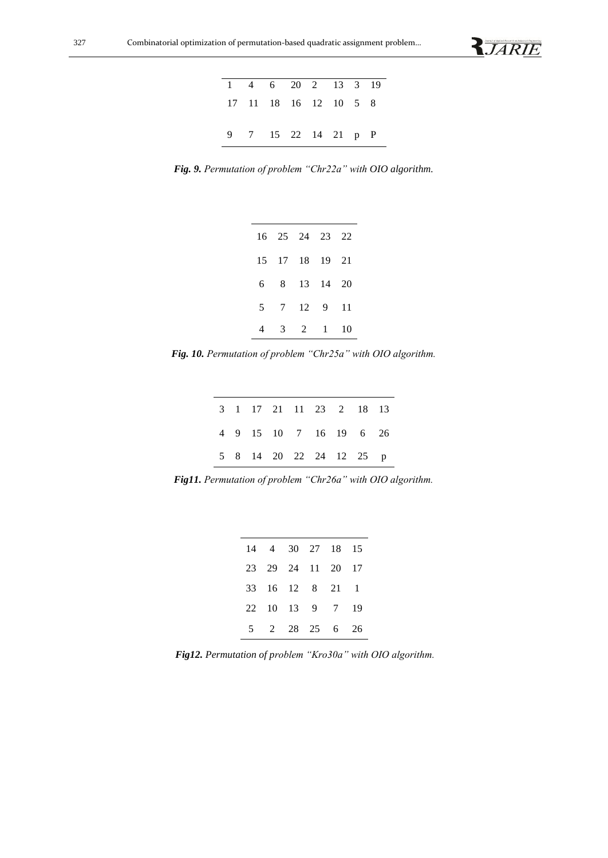

|                     |  | 1 4 6 20 2 13 3 19    |  |  |
|---------------------|--|-----------------------|--|--|
|                     |  | 17 11 18 16 12 10 5 8 |  |  |
|                     |  |                       |  |  |
| 9 7 15 22 14 21 p P |  |                       |  |  |

*Fig. 9. Permutation of problem "Chr22a" with OIO algorithm.*

|   |   | 16 25 24 23 22 |              |      |
|---|---|----------------|--------------|------|
|   |   | 15 17 18 19 21 |              |      |
| 6 |   | 8 13 14 20     |              |      |
| 5 |   | 7 12 9         |              | - 11 |
|   | 3 | 2              | $\mathbf{1}$ | 10   |

*Fig. 10. Permutation of problem "Chr25a" with OIO algorithm.*

|  |  | 3 1 17 21 11 23 2 18 13 |  |  |
|--|--|-------------------------|--|--|
|  |  | 4 9 15 10 7 16 19 6 26  |  |  |
|  |  | 5 8 14 20 22 24 12 25 p |  |  |

*Fig11. Permutation of problem "Chr26a" with OIO algorithm.*

|  |  | 14 4 30 27 18 15  |  |
|--|--|-------------------|--|
|  |  | 23 29 24 11 20 17 |  |
|  |  | 33 16 12 8 21 1   |  |
|  |  | 22 10 13 9 7 19   |  |
|  |  | 5 2 28 25 6 26    |  |

*Fig12. Permutation of problem "Kro30a" with OIO algorithm.*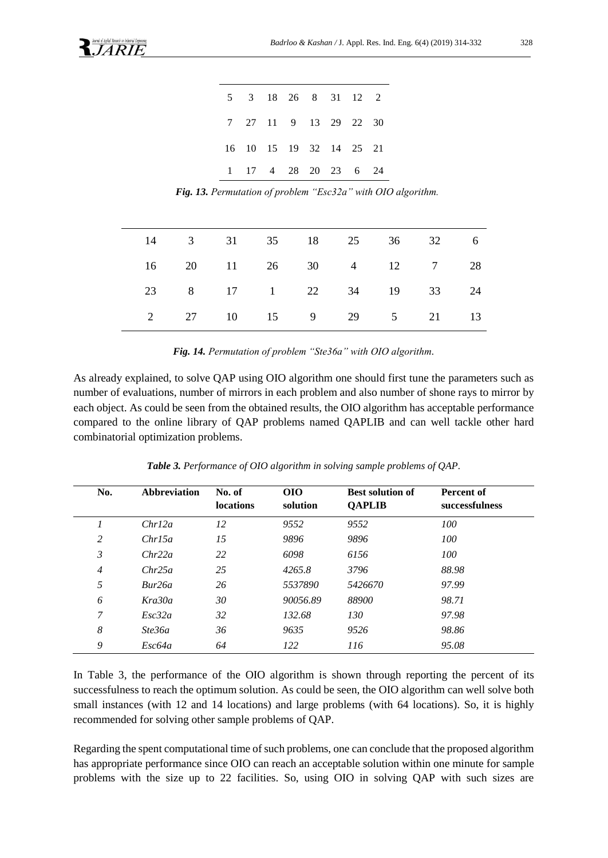|  |  |  | 5 3 18 26 8 31 12 2     |  |
|--|--|--|-------------------------|--|
|  |  |  | 7 27 11 9 13 29 22 30   |  |
|  |  |  | 16 10 15 19 32 14 25 21 |  |
|  |  |  | 1 17 4 28 20 23 6 24    |  |

*Fig. 13. Permutation of problem "Esc32a" with OIO algorithm.*

| 14 3 31 35 18 25 36 32 6 |  |  |  |  |
|--------------------------|--|--|--|--|
| 16 20 11 26 30 4 12 7 28 |  |  |  |  |
| 23 8 17 1 22 34 19 33 24 |  |  |  |  |
| 2 27 10 15 9 29 5 21 13  |  |  |  |  |

*Fig. 14. Permutation of problem "Ste36a" with OIO algorithm.*

As already explained, to solve QAP using OIO algorithm one should first tune the parameters such as number of evaluations, number of mirrors in each problem and also number of shone rays to mirror by each object. As could be seen from the obtained results, the OIO algorithm has acceptable performance compared to the online library of QAP problems named QAPLIB and can well tackle other hard combinatorial optimization problems.

| No.            | <b>Abbreviation</b> | No. of<br>locations | <b>OIO</b><br>solution | <b>Best solution of</b><br><b>QAPLIB</b> | <b>Percent of</b><br>successfulness |
|----------------|---------------------|---------------------|------------------------|------------------------------------------|-------------------------------------|
| 1              | Chrl2a              | 12                  | 9552                   | 9552                                     | 100                                 |
| 2              | Chrl5a              | 15                  | 9896                   | 9896                                     | 100                                 |
| 3              | Chr22a              | 22                  | 6098                   | 6156                                     | 100                                 |
| $\overline{4}$ | Chr25a              | 25                  | 4265.8                 | 3796                                     | 88.98                               |
| 5              | Bur26a              | 26                  | 5537890                | 5426670                                  | 97.99                               |
| 6              | Kra30a              | 30                  | 90056.89               | 88900                                    | 98.71                               |
| 7              | Esc32a              | 32                  | 132.68                 | 130                                      | 97.98                               |
| 8              | Ste36a              | 36                  | 9635                   | 9526                                     | 98.86                               |
| 9              | Esc64a              | 64                  | 122                    | 116                                      | 95.08                               |

*Table 3. Performance of OIO algorithm in solving sample problems of QAP.*

In Table 3, the performance of the OIO algorithm is shown through reporting the percent of its successfulness to reach the optimum solution. As could be seen, the OIO algorithm can well solve both small instances (with 12 and 14 locations) and large problems (with 64 locations). So, it is highly recommended for solving other sample problems of QAP.

Regarding the spent computational time of such problems, one can conclude that the proposed algorithm has appropriate performance since OIO can reach an acceptable solution within one minute for sample problems with the size up to 22 facilities. So, using OIO in solving QAP with such sizes are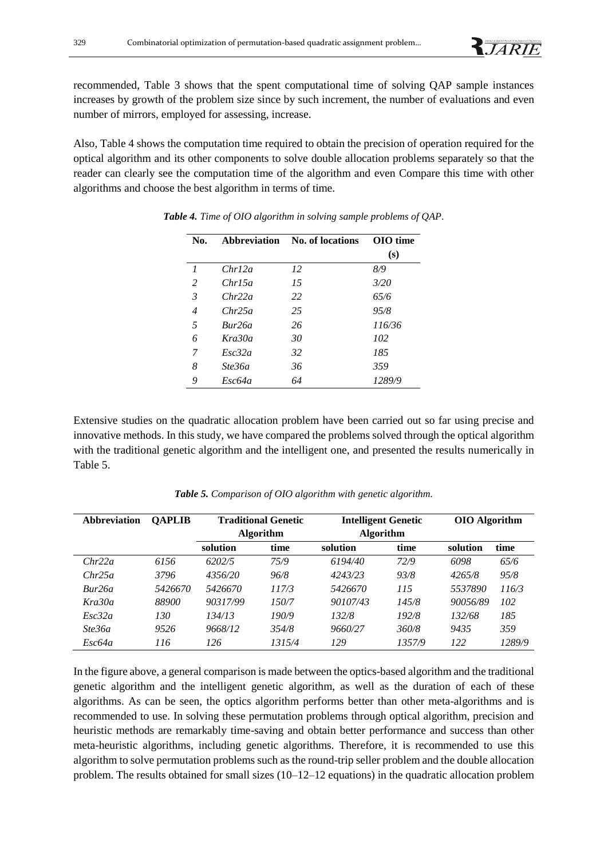recommended, Table 3 shows that the spent computational time of solving QAP sample instances increases by growth of the problem size since by such increment, the number of evaluations and even number of mirrors, employed for assessing, increase.

Also, Table 4 shows the computation time required to obtain the precision of operation required for the optical algorithm and its other components to solve double allocation problems separately so that the reader can clearly see the computation time of the algorithm and even Compare this time with other algorithms and choose the best algorithm in terms of time.

| No.                 | Abbreviation | No. of locations | OIO time |
|---------------------|--------------|------------------|----------|
|                     |              |                  | (s)      |
| $\boldsymbol{\eta}$ | Chrl2a       | 12               | 8/9      |
| 2                   | Chr15a       | 15               | 3/20     |
| 3                   | Chr22a       | 22               | 65/6     |
| $\overline{4}$      | Chr25a       | 25               | 95/8     |
| 5                   | Bur26a       | 26               | 116/36   |
| 6                   | Kra30a       | 30               | 102      |
| 7                   | Esc32a       | 32               | 185      |
| 8                   | Ste36a       | 36               | 359      |
| 9                   | Exc64a       | 64               | 1289/9   |

*Table 4. Time of OIO algorithm in solving sample problems of QAP.*

Extensive studies on the quadratic allocation problem have been carried out so far using precise and innovative methods. In this study, we have compared the problems solved through the optical algorithm with the traditional genetic algorithm and the intelligent one, and presented the results numerically in Table 5.

| <b>Abbreviation</b> | <b>QAPLIB</b> | <b>Traditional Genetic</b> |        | <b>Intelligent Genetic</b> |        | <b>OIO</b> Algorithm |        |
|---------------------|---------------|----------------------------|--------|----------------------------|--------|----------------------|--------|
|                     |               | <b>Algorithm</b>           |        | <b>Algorithm</b>           |        |                      |        |
|                     |               | solution                   | time   | solution                   | time   | solution             | time   |
| Chr22a              | 6156          | 6202/5                     | 75/9   | 6194/40                    | 72/9   | 6098                 | 65/6   |
| Chr25a              | 3796          | 4356/20                    | 96/8   | 4243/23                    | 93/8   | 4265/8               | 95/8   |
| Bur26a              | 5426670       | 5426670                    | 117/3  | 5426670                    | 115    | 5537890              | 116/3  |
| Kra30a              | 88900         | 90317/99                   | 150/7  | 90107/43                   | 145/8  | 90056/89             | 102    |
| Esc32a              | 130           | 134/13                     | 190/9  | 132/8                      | 192/8  | 132/68               | 185    |
| Ste36a              | 9526          | 9668/12                    | 354/8  | 9660/27                    | 360/8  | 9435                 | 359    |
| Esc64a              | 116           | 126                        | 1315/4 | 129                        | 1357/9 | 122                  | 1289/9 |

*Table 5. Comparison of OIO algorithm with genetic algorithm.*

In the figure above, a general comparison is made between the optics-based algorithm and the traditional genetic algorithm and the intelligent genetic algorithm, as well as the duration of each of these algorithms. As can be seen, the optics algorithm performs better than other meta-algorithms and is recommended to use. In solving these permutation problems through optical algorithm, precision and heuristic methods are remarkably time-saving and obtain better performance and success than other meta-heuristic algorithms, including genetic algorithms. Therefore, it is recommended to use this algorithm to solve permutation problems such as the round-trip seller problem and the double allocation problem. The results obtained for small sizes (10–12–12 equations) in the quadratic allocation problem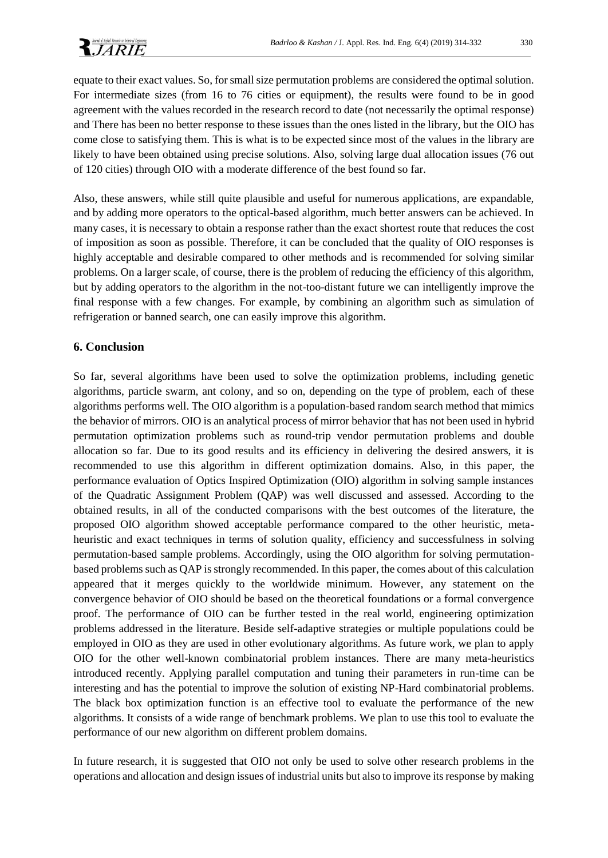

equate to their exact values. So, for small size permutation problems are considered the optimal solution. For intermediate sizes (from 16 to 76 cities or equipment), the results were found to be in good agreement with the values recorded in the research record to date (not necessarily the optimal response) and There has been no better response to these issues than the ones listed in the library, but the OIO has come close to satisfying them. This is what is to be expected since most of the values in the library are likely to have been obtained using precise solutions. Also, solving large dual allocation issues (76 out of 120 cities) through OIO with a moderate difference of the best found so far.

Also, these answers, while still quite plausible and useful for numerous applications, are expandable, and by adding more operators to the optical-based algorithm, much better answers can be achieved. In many cases, it is necessary to obtain a response rather than the exact shortest route that reduces the cost of imposition as soon as possible. Therefore, it can be concluded that the quality of OIO responses is highly acceptable and desirable compared to other methods and is recommended for solving similar problems. On a larger scale, of course, there is the problem of reducing the efficiency of this algorithm, but by adding operators to the algorithm in the not-too-distant future we can intelligently improve the final response with a few changes. For example, by combining an algorithm such as simulation of refrigeration or banned search, one can easily improve this algorithm.

# **6. Conclusion**

So far, several algorithms have been used to solve the optimization problems, including genetic algorithms, particle swarm, ant colony, and so on, depending on the type of problem, each of these algorithms performs well. The OIO algorithm is a population-based random search method that mimics the behavior of mirrors. OIO is an analytical process of mirror behavior that has not been used in hybrid permutation optimization problems such as round-trip vendor permutation problems and double allocation so far. Due to its good results and its efficiency in delivering the desired answers, it is recommended to use this algorithm in different optimization domains. Also, in this paper, the performance evaluation of Optics Inspired Optimization (OIO) algorithm in solving sample instances of the Quadratic Assignment Problem (QAP) was well discussed and assessed. According to the obtained results, in all of the conducted comparisons with the best outcomes of the literature, the proposed OIO algorithm showed acceptable performance compared to the other heuristic, metaheuristic and exact techniques in terms of solution quality, efficiency and successfulness in solving permutation-based sample problems. Accordingly, using the OIO algorithm for solving permutationbased problems such as QAP is strongly recommended. In this paper, the comes about of this calculation appeared that it merges quickly to the worldwide minimum. However, any statement on the convergence behavior of OIO should be based on the theoretical foundations or a formal convergence proof. The performance of OIO can be further tested in the real world, engineering optimization problems addressed in the literature. Beside self-adaptive strategies or multiple populations could be employed in OIO as they are used in other evolutionary algorithms. As future work, we plan to apply OIO for the other well-known combinatorial problem instances. There are many meta-heuristics introduced recently. Applying parallel computation and tuning their parameters in run-time can be interesting and has the potential to improve the solution of existing NP-Hard combinatorial problems. The black box optimization function is an effective tool to evaluate the performance of the new algorithms. It consists of a wide range of benchmark problems. We plan to use this tool to evaluate the performance of our new algorithm on different problem domains.

In future research, it is suggested that OIO not only be used to solve other research problems in the operations and allocation and design issues of industrial units but also to improve its response by making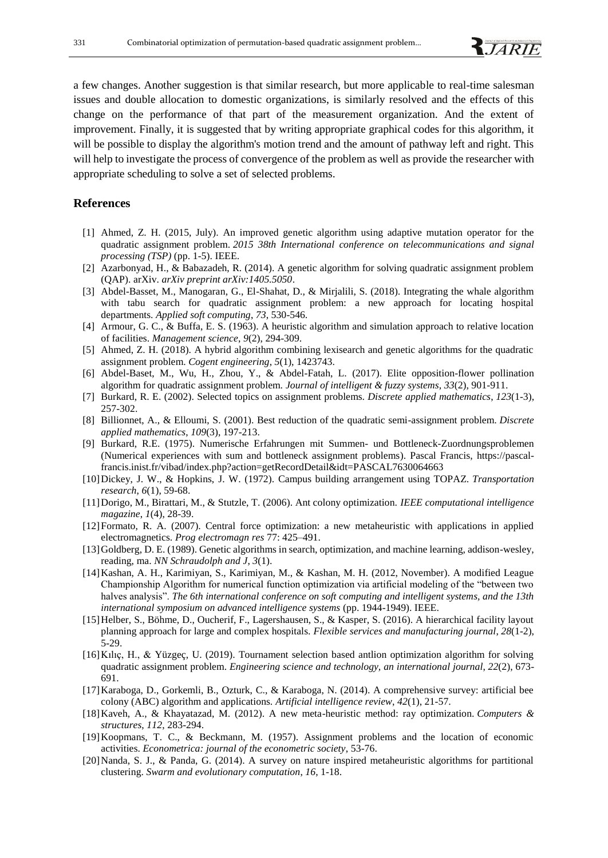

a few changes. Another suggestion is that similar research, but more applicable to real-time salesman issues and double allocation to domestic organizations, is similarly resolved and the effects of this change on the performance of that part of the measurement organization. And the extent of improvement. Finally, it is suggested that by writing appropriate graphical codes for this algorithm, it will be possible to display the algorithm's motion trend and the amount of pathway left and right. This will help to investigate the process of convergence of the problem as well as provide the researcher with appropriate scheduling to solve a set of selected problems.

### **References**

- [1] Ahmed, Z. H. (2015, July). An improved genetic algorithm using adaptive mutation operator for the quadratic assignment problem. *2015 38th International conference on telecommunications and signal processing (TSP)* (pp. 1-5). IEEE.
- [2] Azarbonyad, H., & Babazadeh, R. (2014). A genetic algorithm for solving quadratic assignment problem (QAP). arXiv. *arXiv preprint arXiv:1405.5050*.
- [3] Abdel-Basset, M., Manogaran, G., El-Shahat, D., & Mirjalili, S. (2018). Integrating the whale algorithm with tabu search for quadratic assignment problem: a new approach for locating hospital departments. *Applied soft computing*, *73*, 530-546.
- [4] Armour, G. C., & Buffa, E. S. (1963). A heuristic algorithm and simulation approach to relative location of facilities. *Management science*, *9*(2), 294-309.
- [5] Ahmed, Z. H. (2018). A hybrid algorithm combining lexisearch and genetic algorithms for the quadratic assignment problem. *Cogent engineering*, *5*(1), 1423743.
- [6] Abdel-Baset, M., Wu, H., Zhou, Y., & Abdel-Fatah, L. (2017). Elite opposition-flower pollination algorithm for quadratic assignment problem. *Journal of intelligent & fuzzy systems*, *33*(2), 901-911.
- [7] Burkard, R. E. (2002). Selected topics on assignment problems. *Discrete applied mathematics*, *123*(1-3), 257-302.
- [8] Billionnet, A., & Elloumi, S. (2001). Best reduction of the quadratic semi-assignment problem. *Discrete applied mathematics*, *109*(3), 197-213.
- [9] Burkard, R.E. (1975). Numerische Erfahrungen mit Summen- und Bottleneck-Zuordnungsproblemen (Numerical experiences with sum and bottleneck assignment problems). Pascal Francis, [https://pascal](https://pascal-francis.inist.fr/vibad/index.php?action=getRecordDetail&idt=PASCAL7630064663)[francis.inist.fr/vibad/index.php?action=getRecordDetail&idt=PASCAL7630064663](https://pascal-francis.inist.fr/vibad/index.php?action=getRecordDetail&idt=PASCAL7630064663)
- [10]Dickey, J. W., & Hopkins, J. W. (1972). Campus building arrangement using TOPAZ. *Transportation research*, *6*(1), 59-68.
- [11]Dorigo, M., Birattari, M., & Stutzle, T. (2006). Ant colony optimization. *IEEE computational intelligence magazine*, *1*(4), 28-39.
- [12]Formato, R. A. (2007). Central force optimization: a new metaheuristic with applications in applied electromagnetics. *Prog electromagn res* 77: 425–491.
- [13] Goldberg, D. E. (1989). Genetic algorithms in search, optimization, and machine learning, addison-wesley, reading, ma. *NN Schraudolph and J*, *3*(1).
- [14]Kashan, A. H., Karimiyan, S., Karimiyan, M., & Kashan, M. H. (2012, November). A modified League Championship Algorithm for numerical function optimization via artificial modeling of the "between two halves analysis". *The 6th international conference on soft computing and intelligent systems, and the 13th international symposium on advanced intelligence systems* (pp. 1944-1949). IEEE.
- [15]Helber, S., Böhme, D., Oucherif, F., Lagershausen, S., & Kasper, S. (2016). A hierarchical facility layout planning approach for large and complex hospitals. *Flexible services and manufacturing journal*, *28*(1-2), 5-29.
- [16]Kılıç, H., & Yüzgeç, U. (2019). Tournament selection based antlion optimization algorithm for solving quadratic assignment problem. *Engineering science and technology, an international journal*, *22*(2), 673- 691.
- [17]Karaboga, D., Gorkemli, B., Ozturk, C., & Karaboga, N. (2014). A comprehensive survey: artificial bee colony (ABC) algorithm and applications. *Artificial intelligence review*, *42*(1), 21-57.
- [18]Kaveh, A., & Khayatazad, M. (2012). A new meta-heuristic method: ray optimization. *Computers & structures*, *112*, 283-294.
- [19]Koopmans, T. C., & Beckmann, M. (1957). Assignment problems and the location of economic activities. *Econometrica: journal of the econometric society*, 53-76.
- [20]Nanda, S. J., & Panda, G. (2014). A survey on nature inspired metaheuristic algorithms for partitional clustering. *Swarm and evolutionary computation*, *16*, 1-18.